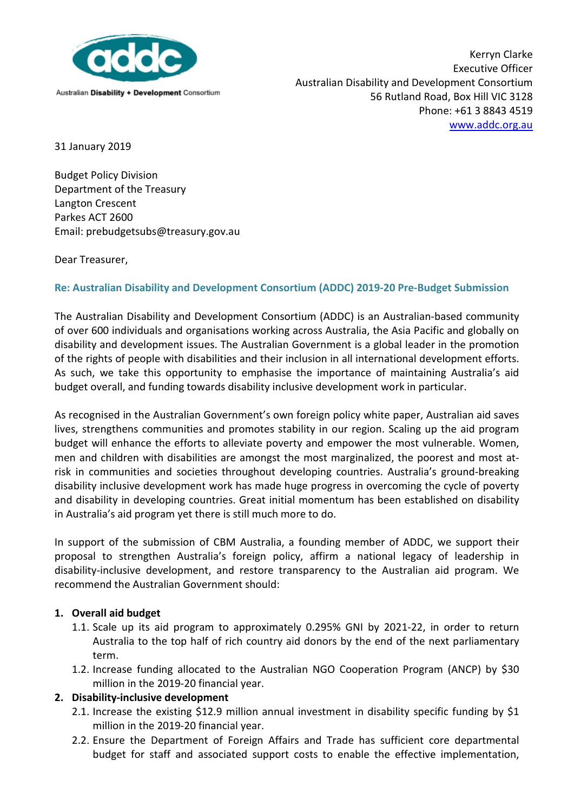

Kerryn Clarke Executive Officer Australian Disability and Development Consortium 56 Rutland Road, Box Hill VIC 3128 Phone: +61 3 8843 4519 [www.addc.org.au](http://www.addc.org.au/)

31 January 2019

Budget Policy Division Department of the Treasury Langton Crescent Parkes ACT 2600 Email: prebudgetsubs@treasury.gov.au

Dear Treasurer,

## **Re: Australian Disability and Development Consortium (ADDC) 2019-20 Pre-Budget Submission**

The Australian Disability and Development Consortium (ADDC) is an Australian-based community of over 600 individuals and organisations working across Australia, the Asia Pacific and globally on disability and development issues. The Australian Government is a global leader in the promotion of the rights of people with disabilities and their inclusion in all international development efforts. As such, we take this opportunity to emphasise the importance of maintaining Australia's aid budget overall, and funding towards disability inclusive development work in particular.

As recognised in the Australian Government's own foreign policy white paper, Australian aid saves lives, strengthens communities and promotes stability in our region. Scaling up the aid program budget will enhance the efforts to alleviate poverty and empower the most vulnerable. Women, men and children with disabilities are amongst the most marginalized, the poorest and most atrisk in communities and societies throughout developing countries. Australia's ground-breaking disability inclusive development work has made huge progress in overcoming the cycle of poverty and disability in developing countries. Great initial momentum has been established on disability in Australia's aid program yet there is still much more to do.

In support of the submission of CBM Australia, a founding member of ADDC, we support their proposal to strengthen Australia's foreign policy, affirm a national legacy of leadership in disability-inclusive development, and restore transparency to the Australian aid program. We recommend the Australian Government should:

## **1. Overall aid budget**

- 1.1. Scale up its aid program to approximately 0.295% GNI by 2021-22, in order to return Australia to the top half of rich country aid donors by the end of the next parliamentary term.
- 1.2. Increase funding allocated to the Australian NGO Cooperation Program (ANCP) by \$30 million in the 2019-20 financial year.

## **2. Disability-inclusive development**

- 2.1. Increase the existing \$12.9 million annual investment in disability specific funding by \$1 million in the 2019-20 financial year.
- 2.2. Ensure the Department of Foreign Affairs and Trade has sufficient core departmental budget for staff and associated support costs to enable the effective implementation,